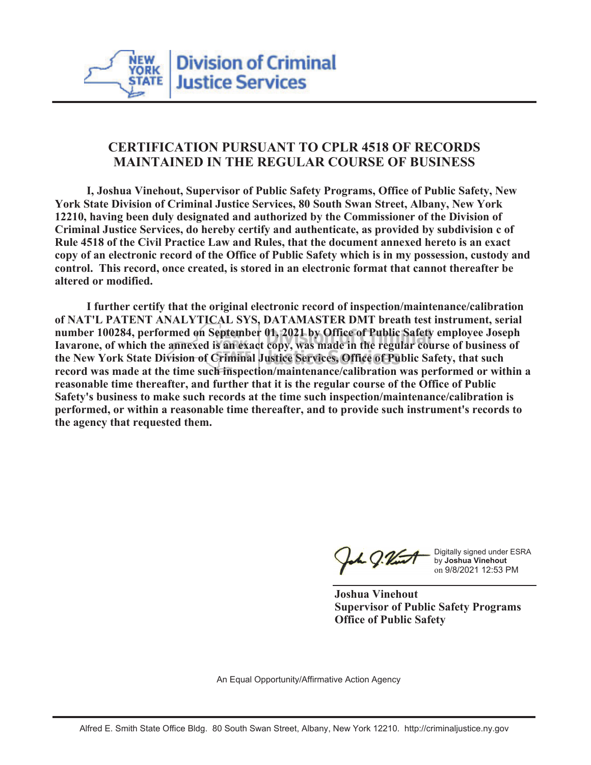

## **CERTIFICATION PURSUANT TO CPLR 4518 OF RECORDS MAINTAINED IN THE REGULAR COURSE OF BUSINESS**

 **I, Joshua Vinehout, Supervisor of Public Safety Programs, Office of Public Safety, New York State Division of Criminal Justice Services, 80 South Swan Street, Albany, New York 12210, having been duly designated and authorized by the Commissioner of the Division of Criminal Justice Services, do hereby certify and authenticate, as provided by subdivision c of Rule 4518 of the Civil Practice Law and Rules, that the document annexed hereto is an exact copy of an electronic record of the Office of Public Safety which is in my possession, custody and control. This record, once created, is stored in an electronic format that cannot thereafter be altered or modified.**

 **I further certify that the original electronic record of inspection/maintenance/calibration of NAT'L PATENT ANALYTICAL SYS, DATAMASTER DMT breath test instrument, serial number 100284, performed on September 01, 2021 by Office of Public Safety employee Joseph Iavarone, of which the annexed is an exact copy, was made in the regular course of business of the New York State Division of Criminal Justice Services, Office of Public Safety, that such record was made at the time such inspection/maintenance/calibration was performed or within a reasonable time thereafter, and further that it is the regular course of the Office of Public Safety's business to make such records at the time such inspection/maintenance/calibration is performed, or within a reasonable time thereafter, and to provide such instrument's records to the agency that requested them.**

L J.Vint

Digitally signed under ESRA by **Joshua Vinehout** on 9/8/2021 12:53 PM

**Joshua Vinehout Supervisor of Public Safety Programs Office of Public Safety**

An Equal Opportunity/Affirmative Action Agency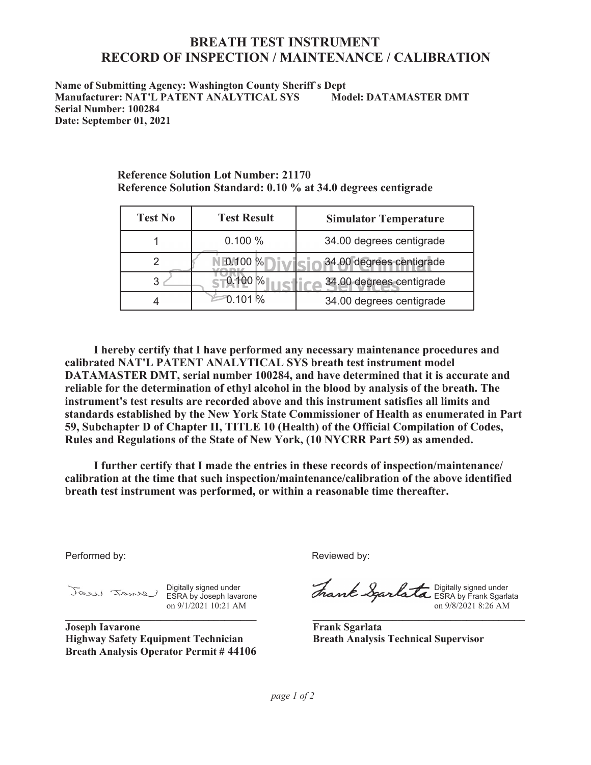## **BREATH TEST INSTRUMENT RECORD OF INSPECTION / MAINTENANCE / CALIBRATION**

**Name of Submitting Agency: Washington County Sheriff`s Dept Manufacturer: NAT'L PATENT ANALYTICAL SYS Model: DATAMASTER DMT Serial Number: 100284 Date: September 01, 2021**

| <b>Test No</b> | <b>Test Result</b> | <b>Simulator Temperature</b> |
|----------------|--------------------|------------------------------|
|                | 0.100%             | 34.00 degrees centigrade     |
|                | 0.100 %            | 34.00 degrees centigrade     |
|                |                    | 34.00 degrees centigrade     |
|                | 0 101 %            | 34.00 degrees centigrade     |

**Reference Solution Lot Number: 21170 Reference Solution Standard: 0.10 % at 34.0 degrees centigrade**

 **I hereby certify that I have performed any necessary maintenance procedures and calibrated NAT'L PATENT ANALYTICAL SYS breath test instrument model DATAMASTER DMT, serial number 100284, and have determined that it is accurate and reliable for the determination of ethyl alcohol in the blood by analysis of the breath. The instrument's test results are recorded above and this instrument satisfies all limits and standards established by the New York State Commissioner of Health as enumerated in Part 59, Subchapter D of Chapter II, TITLE 10 (Health) of the Official Compilation of Codes, Rules and Regulations of the State of New York, (10 NYCRR Part 59) as amended.**

 **I further certify that I made the entries in these records of inspection/maintenance/ calibration at the time that such inspection/maintenance/calibration of the above identified breath test instrument was performed, or within a reasonable time thereafter.**

Performed by:

Digitally signed under ESRA by Joseph Iavarone on 9/1/2021 10:21 AM **\_\_\_\_\_\_\_\_\_\_\_\_\_\_\_\_\_\_\_\_\_\_\_\_\_\_\_\_\_\_\_\_\_\_\_\_**

**Joseph Iavarone Highway Safety Equipment Technician Breath Analysis Operator Permit # 44106** Reviewed by:

Digitally signed under ESRA by Frank Sgarlata on 9/8/2021 8:26 AM

**\_\_\_\_\_\_\_\_\_\_\_\_\_\_\_\_\_\_\_\_\_\_\_\_\_\_\_\_\_\_\_\_\_\_\_\_\_\_\_\_**

**Frank Sgarlata Breath Analysis Technical Supervisor**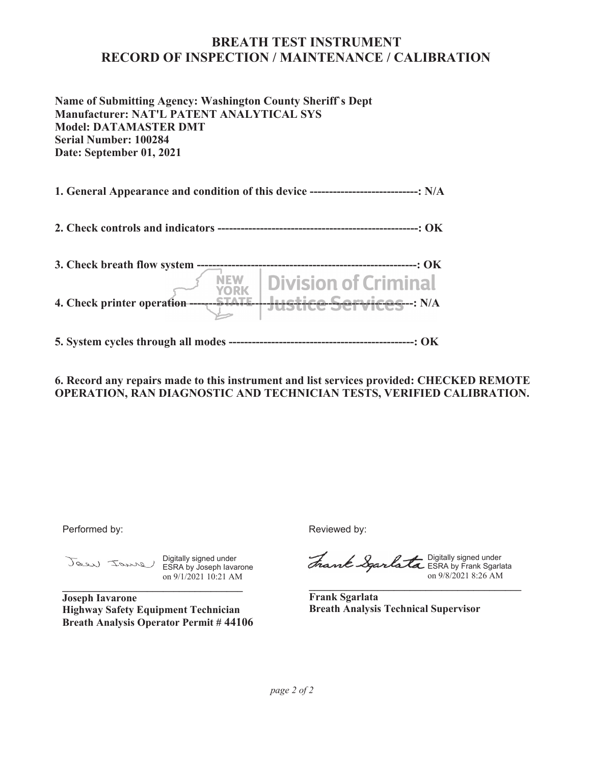## **BREATH TEST INSTRUMENT RECORD OF INSPECTION / MAINTENANCE / CALIBRATION**

**Name of Submitting Agency: Washington County Sheriff`s Dept Manufacturer: NAT'L PATENT ANALYTICAL SYS Model: DATAMASTER DMT Serial Number: 100284 Date: September 01, 2021**

**1. General Appearance and condition of this device ----------------------------: N/A**

**2. Check controls and indicators ----------------------------------------------------: OK**

| 3. Check breath flow system       | -. OK -                                                            |
|-----------------------------------|--------------------------------------------------------------------|
| 4. Check printer operation ------ | $N_{\text{VORK}}$ Division of Criminal<br>Hustice Services --: N/A |

**5. System cycles through all modes ------------------------------------------------: OK**

**6. Record any repairs made to this instrument and list services provided: CHECKED REMOTE OPERATION, RAN DIAGNOSTIC AND TECHNICIAN TESTS, VERIFIED CALIBRATION.**

Performed by:

Digitally signed under ESRA by Joseph Iavarone on 9/1/2021 10:21 AM **\_\_\_\_\_\_\_\_\_\_\_\_\_\_\_\_\_\_\_\_\_\_\_\_\_\_\_\_\_\_\_\_\_\_**

**Joseph Iavarone Highway Safety Equipment Technician Breath Analysis Operator Permit # 44106** Reviewed by:

Digitally signed under ESRA by Frank Sgarlata on 9/8/2021 8:26 AM

**Frank Sgarlata Breath Analysis Technical Supervisor**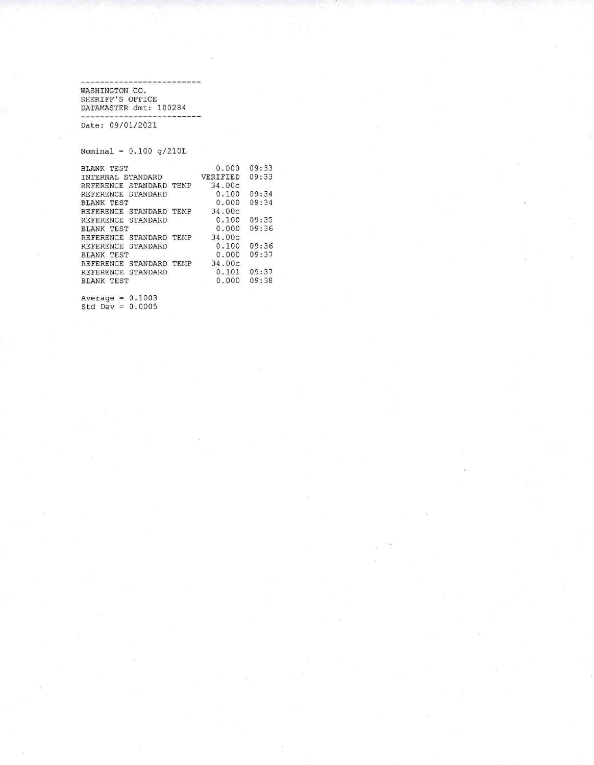-------------------WASHINGTON CO.<br>SHERIFF'S OFFICE<br>DATAMASTER dmt: 100284 

Date: 09/01/2021

Nominal =  $0.100$  g/210L

| <b>BLANK TEST</b>                 | 0.000    | 09:33 |  |
|-----------------------------------|----------|-------|--|
| INTERNAL STANDARD                 | VERIFIED | 09:33 |  |
| REFERENCE STANDARD TEMP           | 34.00c   |       |  |
| REFERENCE STANDARD                | 0.100    | 09:34 |  |
| <b>BLANK TEST</b>                 | 0.000    | 09:34 |  |
| REFERENCE STANDARD TEMP           | 34.00c   |       |  |
| STANDARD<br>REFERENCE             | 0.100    | 09:35 |  |
| <b>BLANK TEST</b>                 | 0.000    | 09:36 |  |
| STANDARD TEMP<br><b>REFERENCE</b> | 34.00c   |       |  |
| STANDARD<br><b>REFERENCE</b>      | 0.100    | 09:36 |  |
| BLANK TEST                        | 0.000    | 09:37 |  |
| STANDARD TEMP<br><b>REFERENCE</b> | 34.00c   |       |  |
| STANDARD<br>REFERENCE             | 0.101    | 09:37 |  |
| <b>BLANK TEST</b>                 | 0.000    | 09:38 |  |
|                                   |          |       |  |

Average =  $0.1003$ <br>Std Dev =  $0.0005$